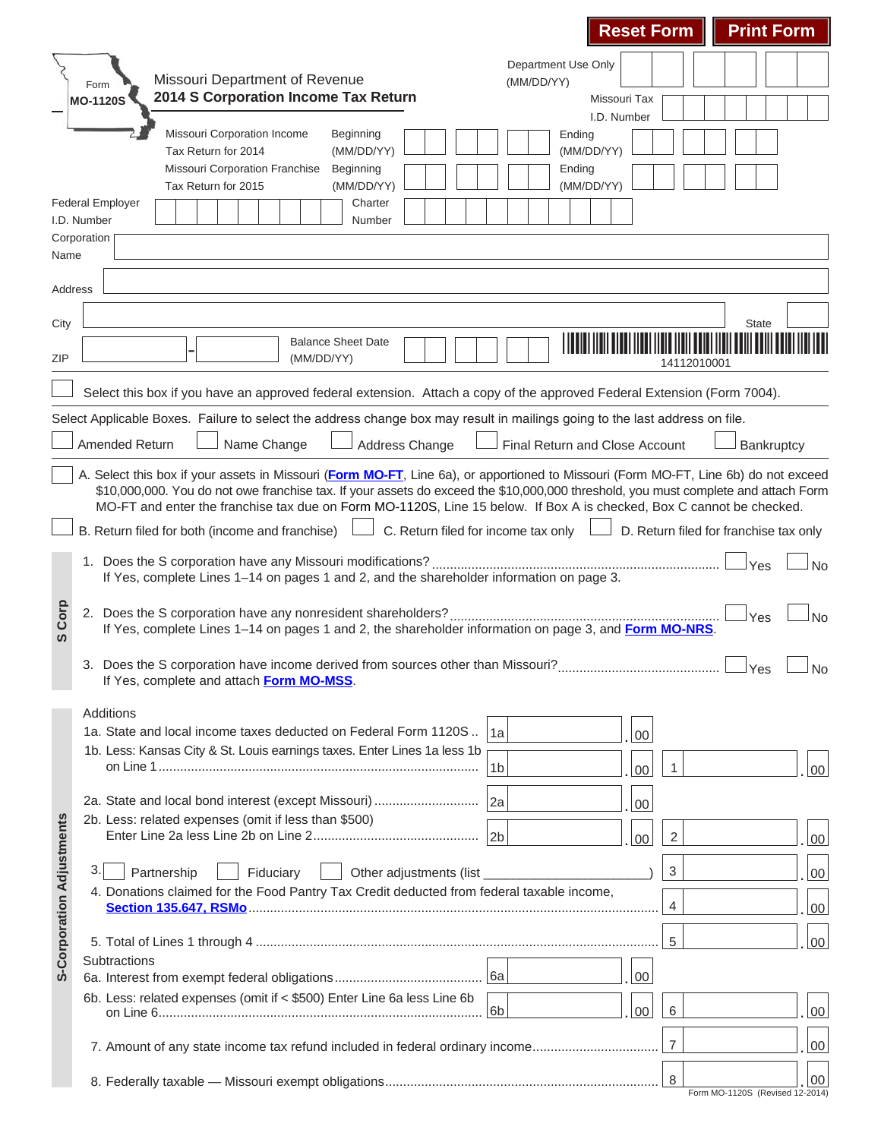|                                  |                                                                                                                                                                                                                                                                                                                                                                                                   |                                | <b>Reset Form</b> |                | <b>Print Form</b>                      |  |                 |  |  |  |  |  |  |
|----------------------------------|---------------------------------------------------------------------------------------------------------------------------------------------------------------------------------------------------------------------------------------------------------------------------------------------------------------------------------------------------------------------------------------------------|--------------------------------|-------------------|----------------|----------------------------------------|--|-----------------|--|--|--|--|--|--|
|                                  |                                                                                                                                                                                                                                                                                                                                                                                                   | <b>Department Use Only</b>     |                   |                |                                        |  |                 |  |  |  |  |  |  |
|                                  | Missouri Department of Revenue<br>Form                                                                                                                                                                                                                                                                                                                                                            | (MM/DD/YY)                     |                   |                |                                        |  |                 |  |  |  |  |  |  |
|                                  | 2014 S Corporation Income Tax Return<br><b>MO-1120S</b>                                                                                                                                                                                                                                                                                                                                           |                                | Missouri Tax      |                |                                        |  |                 |  |  |  |  |  |  |
|                                  | Missouri Corporation Income<br>Beginning                                                                                                                                                                                                                                                                                                                                                          |                                | I.D. Number       |                |                                        |  |                 |  |  |  |  |  |  |
|                                  | Tax Return for 2014<br>(MM/DD/YY)                                                                                                                                                                                                                                                                                                                                                                 | Ending<br>(MM/DD/YY)           |                   |                |                                        |  |                 |  |  |  |  |  |  |
|                                  | <b>Missouri Corporation Franchise</b><br>Beginning                                                                                                                                                                                                                                                                                                                                                | Ending                         |                   |                |                                        |  |                 |  |  |  |  |  |  |
|                                  | (MM/DD/YY)<br>Tax Return for 2015                                                                                                                                                                                                                                                                                                                                                                 | (MM/DD/YY)                     |                   |                |                                        |  |                 |  |  |  |  |  |  |
|                                  | <b>Federal Employer</b><br>Charter<br>I.D. Number<br>Number                                                                                                                                                                                                                                                                                                                                       |                                |                   |                |                                        |  |                 |  |  |  |  |  |  |
|                                  | Corporation                                                                                                                                                                                                                                                                                                                                                                                       |                                |                   |                |                                        |  |                 |  |  |  |  |  |  |
| Name                             |                                                                                                                                                                                                                                                                                                                                                                                                   |                                |                   |                |                                        |  |                 |  |  |  |  |  |  |
| Address                          |                                                                                                                                                                                                                                                                                                                                                                                                   |                                |                   |                |                                        |  |                 |  |  |  |  |  |  |
| City                             |                                                                                                                                                                                                                                                                                                                                                                                                   |                                |                   |                | <b>State</b>                           |  |                 |  |  |  |  |  |  |
|                                  | <b>Balance Sheet Date</b>                                                                                                                                                                                                                                                                                                                                                                         |                                |                   |                |                                        |  |                 |  |  |  |  |  |  |
| ZIP                              | (MM/DD/YY)                                                                                                                                                                                                                                                                                                                                                                                        |                                |                   | 14112010001    |                                        |  |                 |  |  |  |  |  |  |
|                                  | Select this box if you have an approved federal extension. Attach a copy of the approved Federal Extension (Form 7004).                                                                                                                                                                                                                                                                           |                                |                   |                |                                        |  |                 |  |  |  |  |  |  |
|                                  |                                                                                                                                                                                                                                                                                                                                                                                                   |                                |                   |                |                                        |  |                 |  |  |  |  |  |  |
|                                  | Select Applicable Boxes. Failure to select the address change box may result in mailings going to the last address on file.                                                                                                                                                                                                                                                                       |                                |                   |                |                                        |  |                 |  |  |  |  |  |  |
|                                  | <b>Amended Return</b><br>Name Change<br>Address Change                                                                                                                                                                                                                                                                                                                                            | Final Return and Close Account |                   |                | Bankruptcy                             |  |                 |  |  |  |  |  |  |
|                                  | A. Select this box if your assets in Missouri (Form MO-FT, Line 6a), or apportioned to Missouri (Form MO-FT, Line 6b) do not exceed<br>\$10,000,000. You do not owe franchise tax. If your assets do exceed the \$10,000,000 threshold, you must complete and attach Form<br>MO-FT and enter the franchise tax due on Form MO-1120S, Line 15 below. If Box A is checked, Box C cannot be checked. |                                |                   |                |                                        |  |                 |  |  |  |  |  |  |
|                                  | C. Return filed for income tax only                                                                                                                                                                                                                                                                                                                                                               |                                |                   |                |                                        |  |                 |  |  |  |  |  |  |
|                                  | B. Return filed for both (income and franchise)                                                                                                                                                                                                                                                                                                                                                   |                                |                   |                | D. Return filed for franchise tax only |  |                 |  |  |  |  |  |  |
|                                  | 1. Does the S corporation have any Missouri modifications?<br>If Yes, complete Lines 1-14 on pages 1 and 2, and the shareholder information on page 3.                                                                                                                                                                                                                                            |                                |                   |                | Yes                                    |  | <b>No</b>       |  |  |  |  |  |  |
| Corp<br>ഗ                        | 2. Does the S corporation have any nonresident shareholders?<br><b>No</b><br>Yes<br>If Yes, complete Lines 1-14 on pages 1 and 2, the shareholder information on page 3, and Form MO-NRS.                                                                                                                                                                                                         |                                |                   |                |                                        |  |                 |  |  |  |  |  |  |
|                                  | 3. Does the S corporation have income derived from sources other than Missouri?                                                                                                                                                                                                                                                                                                                   |                                |                   |                |                                        |  |                 |  |  |  |  |  |  |
|                                  | If Yes, complete and attach Form MO-MSS.                                                                                                                                                                                                                                                                                                                                                          |                                |                   |                |                                        |  |                 |  |  |  |  |  |  |
|                                  | Additions                                                                                                                                                                                                                                                                                                                                                                                         |                                |                   |                |                                        |  |                 |  |  |  |  |  |  |
|                                  | 1a. State and local income taxes deducted on Federal Form 1120S  1a                                                                                                                                                                                                                                                                                                                               |                                | 00                |                |                                        |  |                 |  |  |  |  |  |  |
|                                  | 1b. Less: Kansas City & St. Louis earnings taxes. Enter Lines 1a less 1b<br>1 <sub>b</sub>                                                                                                                                                                                                                                                                                                        |                                |                   | 1              |                                        |  |                 |  |  |  |  |  |  |
|                                  |                                                                                                                                                                                                                                                                                                                                                                                                   |                                | 00                |                |                                        |  | 00 <sup>°</sup> |  |  |  |  |  |  |
|                                  | 2a. State and local bond interest (except Missouri)<br> 2a                                                                                                                                                                                                                                                                                                                                        | 00                             |                   |                |                                        |  |                 |  |  |  |  |  |  |
|                                  | 2b. Less: related expenses (omit if less than \$500)                                                                                                                                                                                                                                                                                                                                              |                                |                   |                |                                        |  |                 |  |  |  |  |  |  |
|                                  |                                                                                                                                                                                                                                                                                                                                                                                                   |                                | 00                | $\sqrt{2}$     |                                        |  | $00\,$          |  |  |  |  |  |  |
|                                  | 3.<br>Partnership<br>Fiduciary<br>Other adjustments (list                                                                                                                                                                                                                                                                                                                                         |                                |                   | 3              |                                        |  | $00\,$          |  |  |  |  |  |  |
| <b>S-Corporation Adjustments</b> | 4. Donations claimed for the Food Pantry Tax Credit deducted from federal taxable income,<br>4                                                                                                                                                                                                                                                                                                    |                                |                   |                |                                        |  |                 |  |  |  |  |  |  |
|                                  |                                                                                                                                                                                                                                                                                                                                                                                                   |                                |                   |                |                                        |  | $00\,$          |  |  |  |  |  |  |
|                                  |                                                                                                                                                                                                                                                                                                                                                                                                   |                                |                   | 5              |                                        |  | $00\,$          |  |  |  |  |  |  |
|                                  | Subtractions                                                                                                                                                                                                                                                                                                                                                                                      |                                | 00                |                |                                        |  |                 |  |  |  |  |  |  |
|                                  | 6b. Less: related expenses (omit if < \$500) Enter Line 6a less Line 6b                                                                                                                                                                                                                                                                                                                           |                                |                   |                |                                        |  |                 |  |  |  |  |  |  |
|                                  | 6b                                                                                                                                                                                                                                                                                                                                                                                                |                                | 00                | 6              |                                        |  | $00\,$          |  |  |  |  |  |  |
|                                  |                                                                                                                                                                                                                                                                                                                                                                                                   |                                |                   | $\overline{7}$ |                                        |  | $00\,$          |  |  |  |  |  |  |
|                                  | 7. Amount of any state income tax refund included in federal ordinary income                                                                                                                                                                                                                                                                                                                      |                                |                   |                |                                        |  |                 |  |  |  |  |  |  |
|                                  |                                                                                                                                                                                                                                                                                                                                                                                                   |                                |                   | 8              |                                        |  | 00              |  |  |  |  |  |  |

п.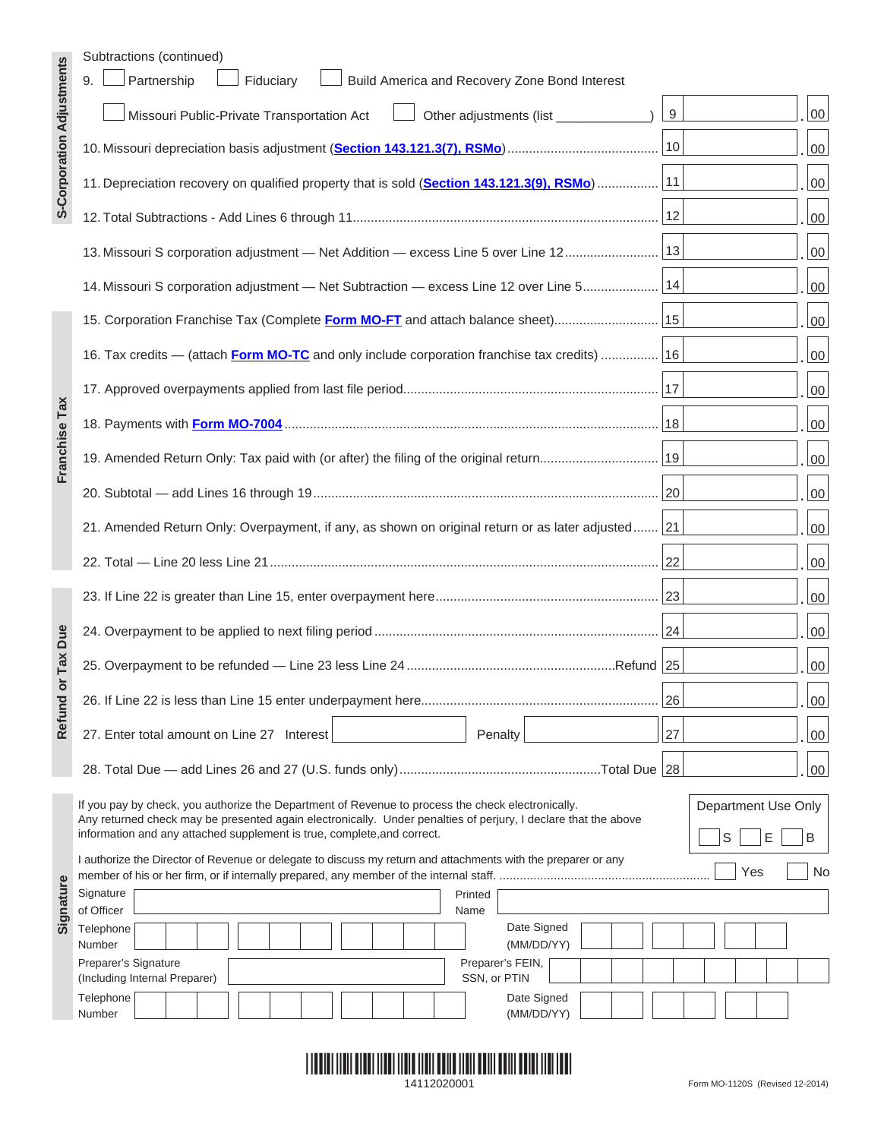|                                  | Subtractions (continued)                                                                                                                                                                                            |     |                     |
|----------------------------------|---------------------------------------------------------------------------------------------------------------------------------------------------------------------------------------------------------------------|-----|---------------------|
|                                  | Partnership<br>9.<br>Fiduciary<br>Build America and Recovery Zone Bond Interest                                                                                                                                     |     |                     |
| <b>S-Corporation Adjustments</b> | Missouri Public-Private Transportation Act<br>Other adjustments (list ______________)                                                                                                                               | 9   | 00                  |
|                                  |                                                                                                                                                                                                                     |     | 00                  |
|                                  | 11. Depreciation recovery on qualified property that is sold (Section 143.121.3(9), RSMo)  11                                                                                                                       |     | 00                  |
|                                  |                                                                                                                                                                                                                     |     | 00                  |
|                                  | 13. Missouri S corporation adjustment - Net Addition - excess Line 5 over Line 12   13                                                                                                                              |     | 00                  |
|                                  | 14. Missouri S corporation adjustment - Net Subtraction - excess Line 12 over Line 5   14                                                                                                                           |     | 00                  |
|                                  | 15. Corporation Franchise Tax (Complete Form MO-FT and attach balance sheet) 15                                                                                                                                     |     | 00                  |
|                                  | 16. Tax credits — (attach Form MO-TC and only include corporation franchise tax credits)  [16]                                                                                                                      |     | 00                  |
|                                  |                                                                                                                                                                                                                     |     | 00                  |
|                                  |                                                                                                                                                                                                                     |     | 00                  |
| Franchise Tax                    |                                                                                                                                                                                                                     |     | 00                  |
|                                  |                                                                                                                                                                                                                     |     | 00                  |
|                                  | 21. Amended Return Only: Overpayment, if any, as shown on original return or as later adjusted 21                                                                                                                   |     | 00                  |
|                                  |                                                                                                                                                                                                                     |     | 00                  |
|                                  |                                                                                                                                                                                                                     |     | 00                  |
| Due                              |                                                                                                                                                                                                                     |     | 00                  |
| Tax<br>$\overline{\mathsf{o}}$   |                                                                                                                                                                                                                     |     | 00                  |
| Refund                           |                                                                                                                                                                                                                     | 26  | 00                  |
|                                  | 27. Enter total amount on Line 27 Interest<br>Penalty                                                                                                                                                               | 27  | 00                  |
|                                  |                                                                                                                                                                                                                     |     | 00                  |
|                                  | If you pay by check, you authorize the Department of Revenue to process the check electronically.<br>Any returned check may be presented again electronically. Under penalties of perjury, I declare that the above |     | Department Use Only |
|                                  | information and any attached supplement is true, complete, and correct.<br>I authorize the Director of Revenue or delegate to discuss my return and attachments with the preparer or any                            | S   | E<br>B              |
|                                  |                                                                                                                                                                                                                     | Yes | No                  |
| Signature                        | Signature<br>Printed<br>of Officer                                                                                                                                                                                  |     |                     |
|                                  | Name<br>Date Signed<br>Telephone<br>(MM/DD/YY)<br>Number                                                                                                                                                            |     |                     |
|                                  | Preparer's Signature<br>Preparer's FEIN,<br>SSN, or PTIN<br>(Including Internal Preparer)                                                                                                                           |     |                     |
|                                  | Date Signed<br>Telephone                                                                                                                                                                                            |     |                     |
|                                  | Number<br>(MM/DD/YY)                                                                                                                                                                                                |     |                     |

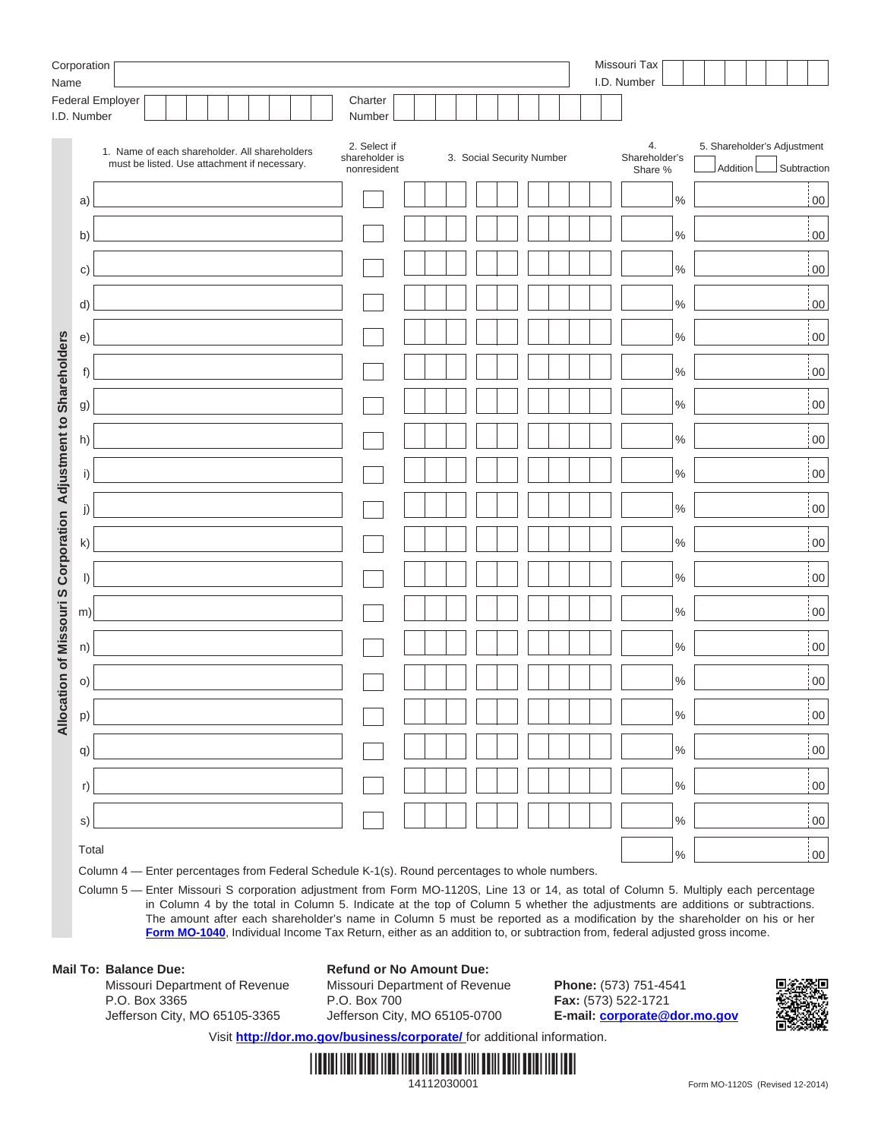| Corporation<br>Name                                             |             |                                                                                                |  |  |  |  |                                               |  |  | Missouri Tax<br>I.D. Number |                           |  |                                |               |                                         |  |                    |
|-----------------------------------------------------------------|-------------|------------------------------------------------------------------------------------------------|--|--|--|--|-----------------------------------------------|--|--|-----------------------------|---------------------------|--|--------------------------------|---------------|-----------------------------------------|--|--------------------|
|                                                                 | I.D. Number | Federal Employer                                                                               |  |  |  |  | Charter<br>Number                             |  |  |                             |                           |  |                                |               |                                         |  |                    |
|                                                                 |             | 1. Name of each shareholder. All shareholders<br>must be listed. Use attachment if necessary.  |  |  |  |  | 2. Select if<br>shareholder is<br>nonresident |  |  |                             | 3. Social Security Number |  | 4.<br>Shareholder's<br>Share % |               | 5. Shareholder's Adjustment<br>Addition |  | Subtraction        |
|                                                                 | a)          |                                                                                                |  |  |  |  |                                               |  |  |                             |                           |  |                                | $\%$          |                                         |  | $\frac{1}{100}$    |
|                                                                 | b)          |                                                                                                |  |  |  |  |                                               |  |  |                             |                           |  |                                | $\frac{0}{0}$ |                                         |  | $\frac{1}{100}$    |
|                                                                 | C)          |                                                                                                |  |  |  |  |                                               |  |  |                             |                           |  |                                | $\frac{0}{0}$ |                                         |  | $\frac{1}{100}$    |
|                                                                 | d)          |                                                                                                |  |  |  |  |                                               |  |  |                             |                           |  |                                | $\frac{0}{0}$ |                                         |  | 00                 |
|                                                                 | e)          |                                                                                                |  |  |  |  |                                               |  |  |                             |                           |  |                                | $\%$          |                                         |  | $\frac{1}{2}00$    |
| Allocation of Missouri S Corporation Adjustment to Shareholders | f)          |                                                                                                |  |  |  |  |                                               |  |  |                             |                           |  |                                | $\%$          |                                         |  | $00\,$             |
|                                                                 | g)          |                                                                                                |  |  |  |  |                                               |  |  |                             |                           |  |                                | $\%$          |                                         |  | $\overline{00}$    |
|                                                                 | h)          |                                                                                                |  |  |  |  |                                               |  |  |                             |                           |  |                                | $\%$          |                                         |  | $\frac{1}{2}00$    |
|                                                                 | i)          |                                                                                                |  |  |  |  |                                               |  |  |                             |                           |  |                                | $\%$          |                                         |  | $\frac{1}{2}00$    |
|                                                                 | j)          |                                                                                                |  |  |  |  |                                               |  |  |                             |                           |  |                                | $\%$          |                                         |  | $\overline{00}$    |
|                                                                 | k)          |                                                                                                |  |  |  |  |                                               |  |  |                             |                           |  |                                | $\%$          |                                         |  | $\overline{00}$    |
|                                                                 | $\vert$     |                                                                                                |  |  |  |  |                                               |  |  |                             |                           |  |                                | $\%$          |                                         |  | $\frac{1}{2}00$    |
|                                                                 | m)          |                                                                                                |  |  |  |  |                                               |  |  |                             |                           |  |                                | $\%$          |                                         |  | $\overline{00}$    |
|                                                                 | n)          |                                                                                                |  |  |  |  |                                               |  |  |                             |                           |  |                                | $\%$          |                                         |  | $\overline{00}$    |
|                                                                 | O           |                                                                                                |  |  |  |  |                                               |  |  |                             |                           |  |                                | $\%$          |                                         |  | $\overline{00}$    |
|                                                                 | p)          |                                                                                                |  |  |  |  |                                               |  |  |                             |                           |  |                                | $\%$          |                                         |  | $\vert$ 00 $\vert$ |
|                                                                 | q)          |                                                                                                |  |  |  |  |                                               |  |  |                             |                           |  |                                | $\%$          |                                         |  | $\vert$ 00         |
|                                                                 | r)          |                                                                                                |  |  |  |  |                                               |  |  |                             |                           |  |                                | $\%$          |                                         |  | 00                 |
|                                                                 | s)          |                                                                                                |  |  |  |  |                                               |  |  |                             |                           |  |                                | $\%$          |                                         |  | 00                 |
|                                                                 | Total       | Column 4 - Enter percentages from Federal Schedule K-1(s). Round percentages to whole numbers. |  |  |  |  |                                               |  |  |                             |                           |  |                                | $\frac{9}{6}$ |                                         |  | 00                 |

Column 5 — Enter Missouri S corporation adjustment from Form MO-1120S, Line 13 or 14, as total of Column 5. Multiply each percentage in Column 4 by the total in Column 5. Indicate at the top of Column 5 whether the adjustments are additions or subtractions. The amount after each shareholder's name in Column 5 must be reported as a modification by the shareholder on his or her **[Form MO-1040](http://dor.mo.gov/forms/index.php?formName=MO-1040&category=&year=)**, Individual Income Tax Return, either as an addition to, or subtraction from, federal adjusted gross income.

Missouri Department of Revenue Missouri Department of Revenue **Phone:** (573) 751-4541 P.O. Box 3365 P.O. Box 700 **Fax:** (573) 522-1721 Jefferson City, MO 65105-3365 Jefferson City, MO 65105-0700 **E-mail: corporate@dor.mo.gov**

**Mail To: Balance Due: Refund or No Amount Due:**<br>Missouri Department of Revenue **Missouri Department of Revenue** 



Visit **http://dor.mo.gov/business/corporate/** for additional information.

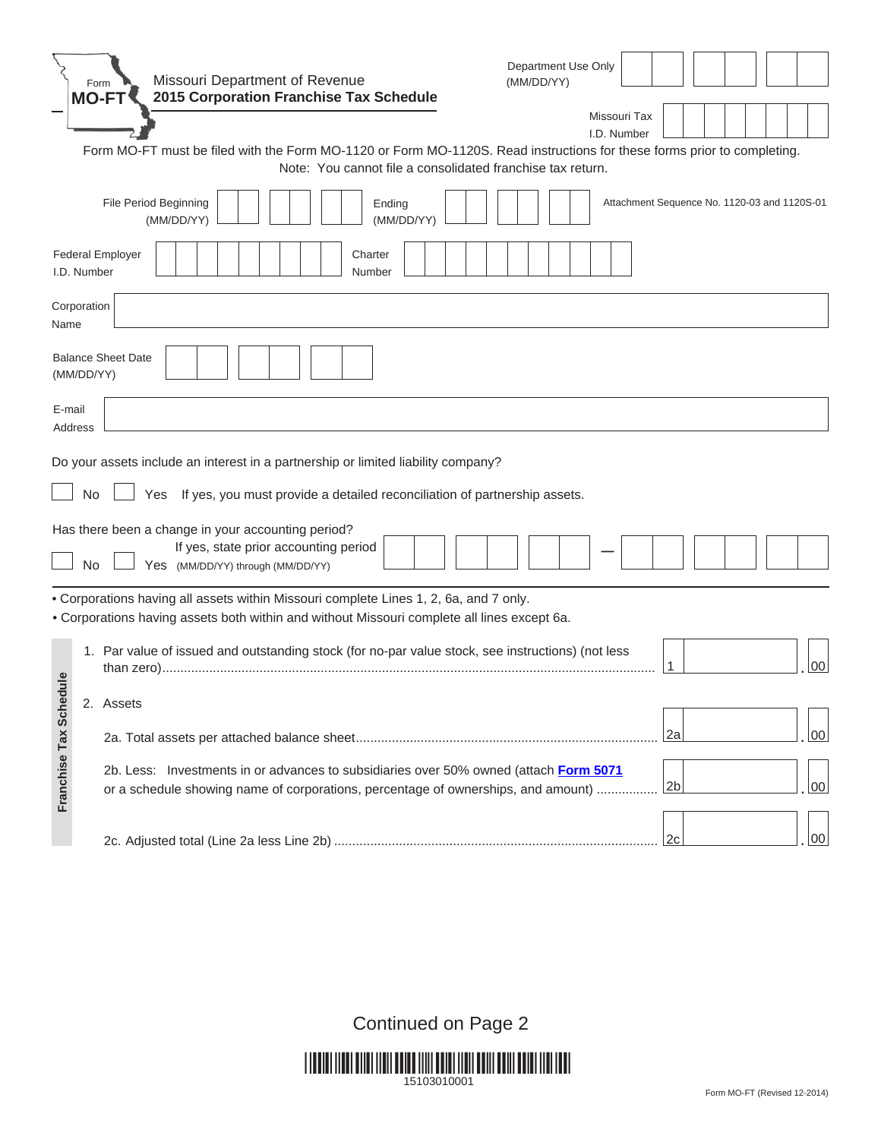|                     |    | Department Use Only<br>Missouri Department of Revenue<br>(MM/DD/YY)<br>Form<br>2015 Corporation Franchise Tax Schedule<br><b>MO-FT</b><br>Missouri Tax<br>I.D. Number<br>Form MO-FT must be filed with the Form MO-1120 or Form MO-1120S. Read instructions for these forms prior to completing. |
|---------------------|----|--------------------------------------------------------------------------------------------------------------------------------------------------------------------------------------------------------------------------------------------------------------------------------------------------|
|                     |    | Note: You cannot file a consolidated franchise tax return.                                                                                                                                                                                                                                       |
|                     |    | File Period Beginning<br>Ending<br>Attachment Sequence No. 1120-03 and 1120S-01<br>(MM/DD/YY)<br>(MM/DD/YY)                                                                                                                                                                                      |
| I.D. Number         |    | <b>Federal Employer</b><br>Charter<br>Number                                                                                                                                                                                                                                                     |
| Corporation<br>Name |    |                                                                                                                                                                                                                                                                                                  |
| (MM/DD/YY)          |    | <b>Balance Sheet Date</b>                                                                                                                                                                                                                                                                        |
| E-mail<br>Address   |    |                                                                                                                                                                                                                                                                                                  |
|                     |    | Do your assets include an interest in a partnership or limited liability company?                                                                                                                                                                                                                |
|                     | No | If yes, you must provide a detailed reconciliation of partnership assets.<br>Yes                                                                                                                                                                                                                 |
|                     | No | Has there been a change in your accounting period?<br>If yes, state prior accounting period<br>Yes (MM/DD/YY) through (MM/DD/YY)                                                                                                                                                                 |
|                     |    | . Corporations having all assets within Missouri complete Lines 1, 2, 6a, and 7 only.<br>. Corporations having assets both within and without Missouri complete all lines except 6a.                                                                                                             |
| elu                 |    | 1. Par value of issued and outstanding stock (for no-par value stock, see instructions) (not less<br>00                                                                                                                                                                                          |
|                     |    | 2. Assets                                                                                                                                                                                                                                                                                        |
|                     |    | 2a<br>00                                                                                                                                                                                                                                                                                         |
| Franchise Tax Sched |    | 2b. Less: Investments in or advances to subsidiaries over 50% owned (attach Form 5071<br>2 <sub>b</sub><br>00<br>or a schedule showing name of corporations, percentage of ownerships, and amount)                                                                                               |
|                     |    | 00<br>2c                                                                                                                                                                                                                                                                                         |

Continued on Page 2

\*15103010001\* 15103010001